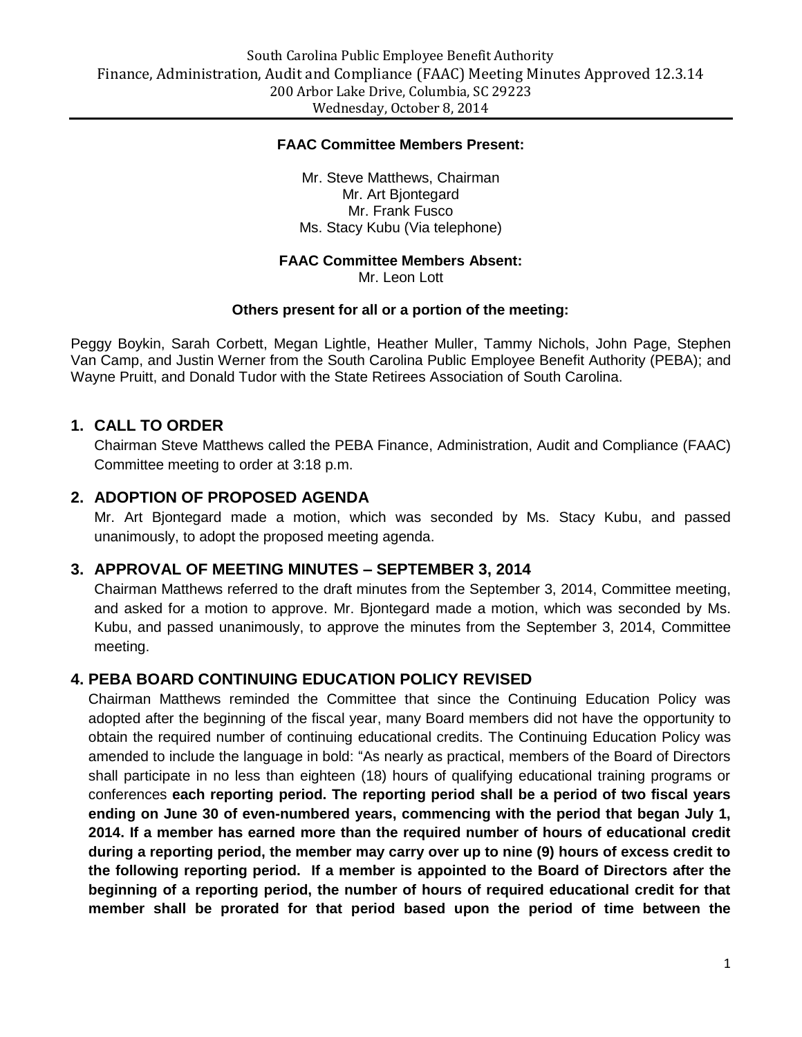#### **FAAC Committee Members Present:**

Mr. Steve Matthews, Chairman Mr. Art Bjontegard Mr. Frank Fusco Ms. Stacy Kubu (Via telephone)

#### **FAAC Committee Members Absent:**

Mr. Leon Lott

#### **Others present for all or a portion of the meeting:**

Peggy Boykin, Sarah Corbett, Megan Lightle, Heather Muller, Tammy Nichols, John Page, Stephen Van Camp, and Justin Werner from the South Carolina Public Employee Benefit Authority (PEBA); and Wayne Pruitt, and Donald Tudor with the State Retirees Association of South Carolina.

#### **1. CALL TO ORDER**

Chairman Steve Matthews called the PEBA Finance, Administration, Audit and Compliance (FAAC) Committee meeting to order at 3:18 p.m.

#### **2. ADOPTION OF PROPOSED AGENDA**

Mr. Art Bjontegard made a motion, which was seconded by Ms. Stacy Kubu, and passed unanimously, to adopt the proposed meeting agenda.

### **3. APPROVAL OF MEETING MINUTES – SEPTEMBER 3, 2014**

Chairman Matthews referred to the draft minutes from the September 3, 2014, Committee meeting, and asked for a motion to approve. Mr. Bjontegard made a motion, which was seconded by Ms. Kubu, and passed unanimously, to approve the minutes from the September 3, 2014, Committee meeting.

### **4. PEBA BOARD CONTINUING EDUCATION POLICY REVISED**

Chairman Matthews reminded the Committee that since the Continuing Education Policy was adopted after the beginning of the fiscal year, many Board members did not have the opportunity to obtain the required number of continuing educational credits. The Continuing Education Policy was amended to include the language in bold: "As nearly as practical, members of the Board of Directors shall participate in no less than eighteen (18) hours of qualifying educational training programs or conferences **each reporting period. The reporting period shall be a period of two fiscal years ending on June 30 of even-numbered years, commencing with the period that began July 1, 2014. If a member has earned more than the required number of hours of educational credit during a reporting period, the member may carry over up to nine (9) hours of excess credit to the following reporting period. If a member is appointed to the Board of Directors after the beginning of a reporting period, the number of hours of required educational credit for that member shall be prorated for that period based upon the period of time between the**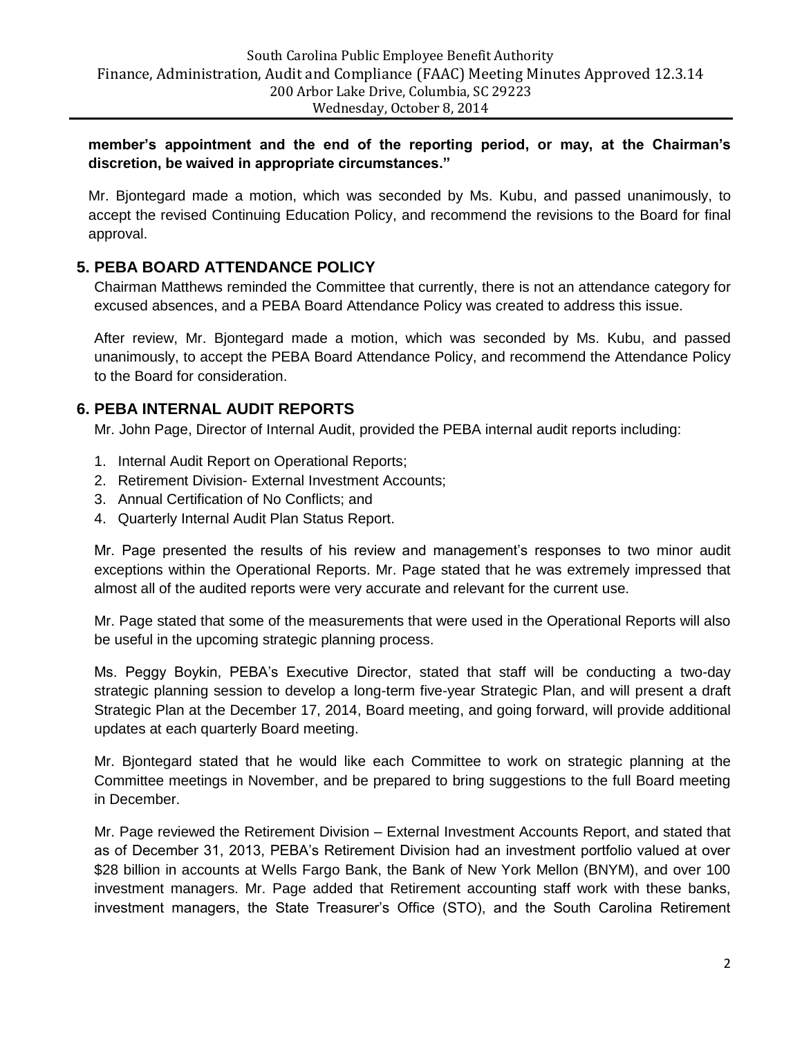**member's appointment and the end of the reporting period, or may, at the Chairman's discretion, be waived in appropriate circumstances."**

Mr. Bjontegard made a motion, which was seconded by Ms. Kubu, and passed unanimously, to accept the revised Continuing Education Policy, and recommend the revisions to the Board for final approval.

# **5. PEBA BOARD ATTENDANCE POLICY**

Chairman Matthews reminded the Committee that currently, there is not an attendance category for excused absences, and a PEBA Board Attendance Policy was created to address this issue.

After review, Mr. Bjontegard made a motion, which was seconded by Ms. Kubu, and passed unanimously, to accept the PEBA Board Attendance Policy, and recommend the Attendance Policy to the Board for consideration.

# **6. PEBA INTERNAL AUDIT REPORTS**

Mr. John Page, Director of Internal Audit, provided the PEBA internal audit reports including:

- 1. Internal Audit Report on Operational Reports;
- 2. Retirement Division- External Investment Accounts;
- 3. Annual Certification of No Conflicts; and
- 4. Quarterly Internal Audit Plan Status Report.

Mr. Page presented the results of his review and management's responses to two minor audit exceptions within the Operational Reports. Mr. Page stated that he was extremely impressed that almost all of the audited reports were very accurate and relevant for the current use.

Mr. Page stated that some of the measurements that were used in the Operational Reports will also be useful in the upcoming strategic planning process.

Ms. Peggy Boykin, PEBA's Executive Director, stated that staff will be conducting a two-day strategic planning session to develop a long-term five-year Strategic Plan, and will present a draft Strategic Plan at the December 17, 2014, Board meeting, and going forward, will provide additional updates at each quarterly Board meeting.

Mr. Bjontegard stated that he would like each Committee to work on strategic planning at the Committee meetings in November, and be prepared to bring suggestions to the full Board meeting in December.

Mr. Page reviewed the Retirement Division – External Investment Accounts Report, and stated that as of December 31, 2013, PEBA's Retirement Division had an investment portfolio valued at over \$28 billion in accounts at Wells Fargo Bank, the Bank of New York Mellon (BNYM), and over 100 investment managers. Mr. Page added that Retirement accounting staff work with these banks, investment managers, the State Treasurer's Office (STO), and the South Carolina Retirement